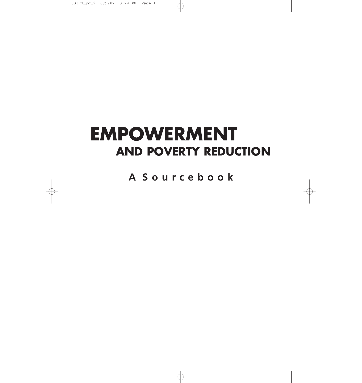# **EMPOWERMENT AND POVERTY REDUCTION**

**A Sourcebook**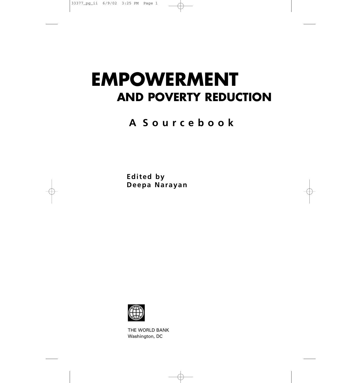# **EMPOWERMENT AND POVERTY REDUCTION**

### **A Sourcebook**

**Edited by Deepa Narayan**



THE WORLD BANK Washington, DC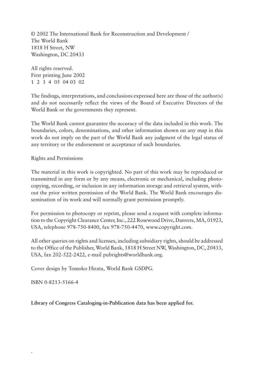© 2002 The International Bank for Reconstruction and Development / The World Bank 1818 H Street, NW Washington, DC 20433

All rights reserved. First printing June 2002 1 2 3 4 05 04 03 02

The findings, interpretations, and conclusions expressed here are those of the author(s) and do not necessarily reflect the views of the Board of Executive Directors of the World Bank or the governments they represent.

The World Bank cannot guarantee the accuracy of the data included in this work. The boundaries, colors, denominations, and other information shown on any map in this work do not imply on the part of the World Bank any judgment of the legal status of any territory or the endorsement or acceptance of such boundaries.

Rights and Permissions

The material in this work is copyrighted. No part of this work may be reproduced or transmitted in any form or by any means, electronic or mechanical, including photocopying, recording, or inclusion in any information storage and retrieval system, without the prior written permission of the World Bank. The World Bank encourages dissemination of its work and will normally grant permission promptly.

For permission to photocopy or reprint, please send a request with complete information to the Copyright Clearance Center, Inc., 222 Rosewood Drive, Danvers, MA, 01923, USA, telephone 978-750-8400, fax 978-750-4470, www.copyright.com.

All other queries on rights and licenses, including subsidiary rights, should be addressed to the Office of the Publisher, World Bank, 1818 H Street NW, Washington, DC, 20433, USA, fax 202-522-2422, e-mail pubrights@worldbank.org.

Cover design by Tomoko Hirata, World Bank GSDPG.

ISBN 0-8213-5166-4

.

**Library of Congress Cataloging-in-Publication data has been applied for.**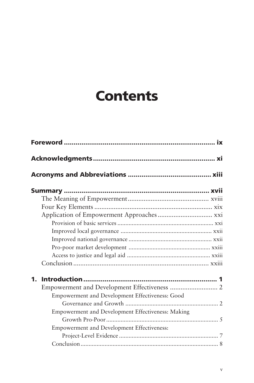# **Contents**

| $\mathbf 1$ .                                     |  |
|---------------------------------------------------|--|
| Empowerment and Development Effectiveness  2      |  |
| Empowerment and Development Effectiveness: Good   |  |
|                                                   |  |
| Empowerment and Development Effectiveness: Making |  |
|                                                   |  |
| Empowerment and Development Effectiveness:        |  |
|                                                   |  |
|                                                   |  |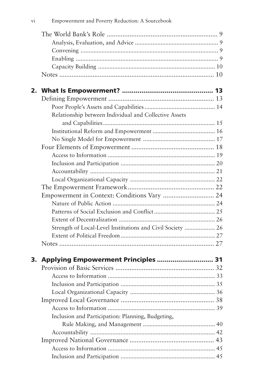| vi | Empowerment and Poverty Reduction: A Sourcebook            |  |
|----|------------------------------------------------------------|--|
|    |                                                            |  |
|    |                                                            |  |
|    |                                                            |  |
|    |                                                            |  |
|    |                                                            |  |
|    |                                                            |  |
|    |                                                            |  |
|    |                                                            |  |
|    |                                                            |  |
|    |                                                            |  |
|    | Relationship between Individual and Collective Assets      |  |
|    |                                                            |  |
|    |                                                            |  |
|    |                                                            |  |
|    |                                                            |  |
|    |                                                            |  |
|    |                                                            |  |
|    |                                                            |  |
|    |                                                            |  |
|    |                                                            |  |
|    | Empowerment in Context: Conditions Vary  24                |  |
|    |                                                            |  |
|    |                                                            |  |
|    |                                                            |  |
|    | Strength of Local-Level Institutions and Civil Society  26 |  |
|    |                                                            |  |
|    |                                                            |  |
|    | 3. Applying Empowerment Principles  31                     |  |
|    |                                                            |  |
|    |                                                            |  |
|    |                                                            |  |
|    |                                                            |  |
|    |                                                            |  |
|    |                                                            |  |
|    | Inclusion and Participation: Planning, Budgeting,          |  |
|    |                                                            |  |
|    |                                                            |  |
|    |                                                            |  |
|    |                                                            |  |
|    |                                                            |  |
|    |                                                            |  |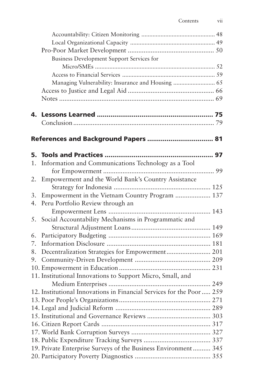|    | Business Development Support Services for                             |  |
|----|-----------------------------------------------------------------------|--|
|    |                                                                       |  |
|    |                                                                       |  |
|    | Managing Vulnerability: Insurance and Housing  65                     |  |
|    |                                                                       |  |
|    |                                                                       |  |
|    |                                                                       |  |
|    |                                                                       |  |
|    |                                                                       |  |
|    | References and Background Papers  81                                  |  |
|    |                                                                       |  |
|    |                                                                       |  |
| 1. | Information and Communications Technology as a Tool                   |  |
|    |                                                                       |  |
| 2. | Empowerment and the World Bank's Country Assistance                   |  |
|    |                                                                       |  |
| 3. | Empowerment in the Vietnam Country Program  137                       |  |
| 4. | Peru Portfolio Review through an                                      |  |
|    |                                                                       |  |
| 5. | Social Accountability Mechanisms in Programmatic and                  |  |
|    |                                                                       |  |
| 6. |                                                                       |  |
| 7. |                                                                       |  |
| 8. | Decentralization Strategies for Empowerment 201                       |  |
| 9. |                                                                       |  |
|    |                                                                       |  |
|    | 11. Institutional Innovations to Support Micro, Small, and            |  |
|    |                                                                       |  |
|    | 12. Institutional Innovations in Financial Services for the Poor  259 |  |
|    |                                                                       |  |
|    |                                                                       |  |
|    |                                                                       |  |
|    |                                                                       |  |
|    |                                                                       |  |
|    |                                                                       |  |
|    | 19. Private Enterprise Surveys of the Business Environment 345        |  |
|    |                                                                       |  |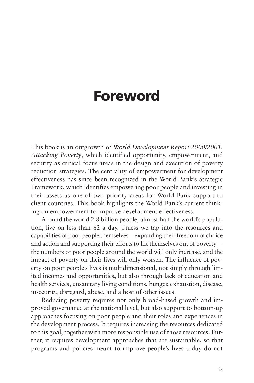### **Foreword**

This book is an outgrowth of *World Development Report 2000/2001: Attacking Poverty*, which identified opportunity, empowerment, and security as critical focus areas in the design and execution of poverty reduction strategies. The centrality of empowerment for development effectiveness has since been recognized in the World Bank's Strategic Framework, which identifies empowering poor people and investing in their assets as one of two priority areas for World Bank support to client countries. This book highlights the World Bank's current thinking on empowerment to improve development effectiveness.

Around the world 2.8 billion people, almost half the world's population, live on less than \$2 a day. Unless we tap into the resources and capabilities of poor people themselves—expanding their freedom of choice and action and supporting their efforts to lift themselves out of poverty the numbers of poor people around the world will only increase, and the impact of poverty on their lives will only worsen. The influence of poverty on poor people's lives is multidimensional, not simply through limited incomes and opportunities, but also through lack of education and health services, unsanitary living conditions, hunger, exhaustion, disease, insecurity, disregard, abuse, and a host of other issues.

Reducing poverty requires not only broad-based growth and improved governance at the national level, but also support to bottom-up approaches focusing on poor people and their roles and experiences in the development process. It requires increasing the resources dedicated to this goal, together with more responsible use of those resources. Further, it requires development approaches that are sustainable, so that programs and policies meant to improve people's lives today do not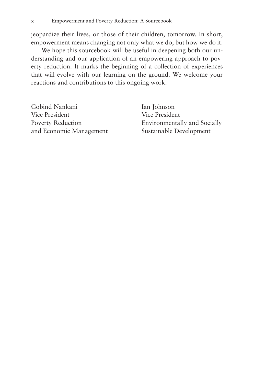jeopardize their lives, or those of their children, tomorrow. In short, empowerment means changing not only what we do, but how we do it.

We hope this sourcebook will be useful in deepening both our understanding and our application of an empowering approach to poverty reduction. It marks the beginning of a collection of experiences that will evolve with our learning on the ground. We welcome your reactions and contributions to this ongoing work.

| Gobind Nankani          | Ian Johnson                  |
|-------------------------|------------------------------|
| Vice President          | Vice President               |
| Poverty Reduction       | Environmentally and Socially |
| and Economic Management | Sustainable Development      |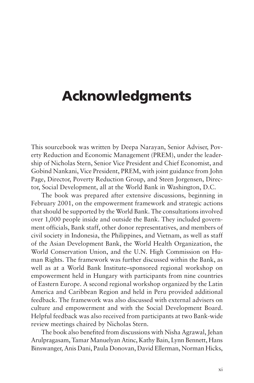## **Acknowledgments**

This sourcebook was written by Deepa Narayan, Senior Adviser, Poverty Reduction and Economic Management (PREM), under the leadership of Nicholas Stern, Senior Vice President and Chief Economist, and Gobind Nankani, Vice President, PREM, with joint guidance from John Page, Director, Poverty Reduction Group, and Steen Jorgensen, Director, Social Development, all at the World Bank in Washington, D.C.

The book was prepared after extensive discussions, beginning in February 2001, on the empowerment framework and strategic actions that should be supported by the World Bank. The consultations involved over 1,000 people inside and outside the Bank. They included government officials, Bank staff, other donor representatives, and members of civil society in Indonesia, the Philippines, and Vietnam, as well as staff of the Asian Development Bank, the World Health Organization, the World Conservation Union, and the U.N. High Commission on Human Rights. The framework was further discussed within the Bank, as well as at a World Bank Institute–sponsored regional workshop on empowerment held in Hungary with participants from nine countries of Eastern Europe. A second regional workshop organized by the Latin America and Caribbean Region and held in Peru provided additional feedback. The framework was also discussed with external advisers on culture and empowerment and with the Social Development Board. Helpful feedback was also received from participants at two Bank-wide review meetings chaired by Nicholas Stern.

The book also benefited from discussions with Nisha Agrawal, Jehan Arulpragasam, Tamar Manuelyan Atinc, Kathy Bain, Lynn Bennett, Hans Binswanger, Anis Dani, Paula Donovan, David Ellerman, Norman Hicks,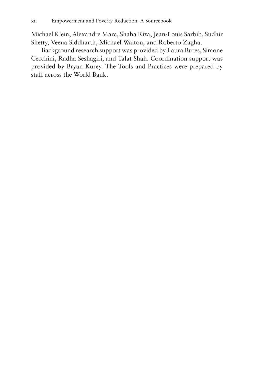Michael Klein, Alexandre Marc, Shaha Riza, Jean-Louis Sarbib, Sudhir Shetty, Veena Siddharth, Michael Walton, and Roberto Zagha.

Background research support was provided by Laura Bures, Simone Cecchini, Radha Seshagiri, and Talat Shah. Coordination support was provided by Bryan Kurey. The Tools and Practices were prepared by staff across the World Bank.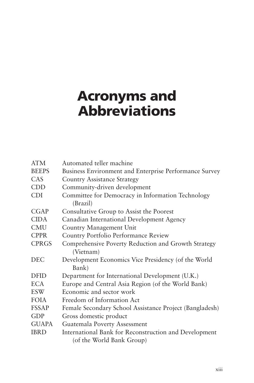## **Acronyms and Abbreviations**

| <b>ATM</b>   | Automated teller machine                                |
|--------------|---------------------------------------------------------|
| <b>BEEPS</b> | Business Environment and Enterprise Performance Survey  |
| CAS          | <b>Country Assistance Strategy</b>                      |
| <b>CDD</b>   | Community-driven development                            |
| <b>CDI</b>   | Committee for Democracy in Information Technology       |
|              | (Brazil)                                                |
| <b>CGAP</b>  | Consultative Group to Assist the Poorest                |
| <b>CIDA</b>  | Canadian International Development Agency               |
| <b>CMU</b>   | Country Management Unit                                 |
| <b>CPPR</b>  | Country Portfolio Performance Review                    |
| <b>CPRGS</b> | Comprehensive Poverty Reduction and Growth Strategy     |
|              | (Vietnam)                                               |
| <b>DEC</b>   | Development Economics Vice Presidency (of the World     |
|              | Bank)                                                   |
| <b>DFID</b>  | Department for International Development (U.K.)         |
| <b>ECA</b>   | Europe and Central Asia Region (of the World Bank)      |
| <b>ESW</b>   | Economic and sector work                                |
| <b>FOIA</b>  | Freedom of Information Act                              |
| <b>FSSAP</b> | Female Secondary School Assistance Project (Bangladesh) |
| <b>GDP</b>   | Gross domestic product                                  |
| <b>GUAPA</b> | Guatemala Poverty Assessment                            |
| <b>IBRD</b>  | International Bank for Reconstruction and Development   |
|              | (of the World Bank Group)                               |
|              |                                                         |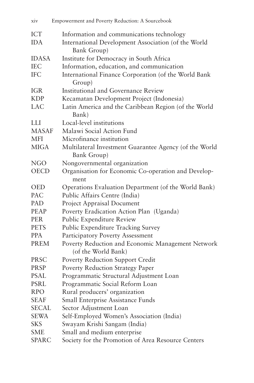| xiv          | Empowerment and Poverty Reduction: A Sourcebook        |
|--------------|--------------------------------------------------------|
| <b>ICT</b>   | Information and communications technology              |
| <b>IDA</b>   | International Development Association (of the World    |
|              | Bank Group)                                            |
| <b>IDASA</b> | Institute for Democracy in South Africa                |
| <b>IEC</b>   | Information, education, and communication              |
| <b>IFC</b>   | International Finance Corporation (of the World Bank   |
|              | Group)                                                 |
| <b>IGR</b>   | Institutional and Governance Review                    |
| <b>KDP</b>   | Kecamatan Development Project (Indonesia)              |
| <b>LAC</b>   | Latin America and the Caribbean Region (of the World   |
|              | Bank)                                                  |
| LLI          | Local-level institutions                               |
| <b>MASAF</b> | Malawi Social Action Fund                              |
| MFI          | Microfinance institution                               |
| <b>MIGA</b>  | Multilateral Investment Guarantee Agency (of the World |
|              | Bank Group)                                            |

PEAP Poverty Eradication Action Plan (Uganda) PER Public Expenditure Review

PAC Public Affairs Centre (India) PAD Project Appraisal Document

NGO Nongovernmental organization

ment

- PETS Public Expenditure Tracking Survey
- PPA Participatory Poverty Assessment
- PREM Poverty Reduction and Economic Management Network (of the World Bank)

OECD Organisation for Economic Co-operation and Develop-

OED Operations Evaluation Department (of the World Bank)

- PRSC Poverty Reduction Support Credit
- PRSP Poverty Reduction Strategy Paper
- PSAL Programmatic Structural Adjustment Loan
- PSRL Programmatic Social Reform Loan
- RPO Rural producers' organization
- SEAF Small Enterprise Assistance Funds
- SECAL Sector Adjustment Loan
- SEWA Self-Employed Women's Association (India)
- SKS Swayam Krishi Sangam (India)
- SME Small and medium enterprise
- SPARC Society for the Promotion of Area Resource Centers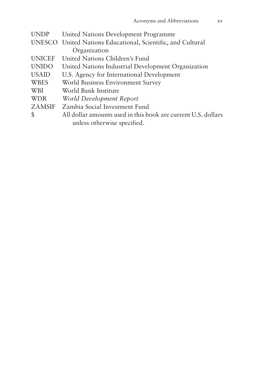| <b>UNDP</b>   | United Nations Development Programme                          |
|---------------|---------------------------------------------------------------|
|               | UNESCO United Nations Educational, Scientific, and Cultural   |
|               | Organization                                                  |
| <b>UNICEF</b> | United Nations Children's Fund                                |
| <b>UNIDO</b>  | United Nations Industrial Development Organization            |
| <b>USAID</b>  | U.S. Agency for International Development                     |
| <b>WBES</b>   | World Business Environment Survey                             |
| <b>WBI</b>    | World Bank Institute                                          |
| <b>WDR</b>    | World Development Report                                      |
| <b>ZAMSIF</b> | Zambia Social Investment Fund                                 |
| S             | All dollar amounts used in this book are current U.S. dollars |
|               | unless otherwise specified.                                   |
|               |                                                               |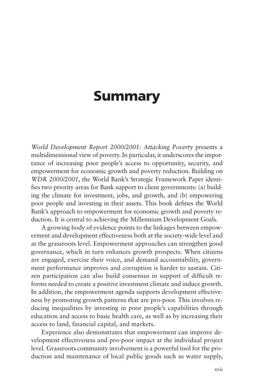### **Summary**

*World Development Report 2000/2001: Attacking Poverty* presents a multidimensional view of poverty. In particular, it underscores the importance of increasing poor people's access to opportunity, security, and empowerment for economic growth and poverty reduction. Building on *WDR 2000/2001*, the World Bank's Strategic Framework Paper identifies two priority areas for Bank support to client governments: (a) building the climate for investment, jobs, and growth, and (b) empowering poor people and investing in their assets. This book defines the World Bank's approach to empowerment for economic growth and poverty reduction. It is central to achieving the Millennium Development Goals.

A growing body of evidence points to the linkages between empowerment and development effectiveness both at the society-wide level and at the grassroots level. Empowerment approaches can strengthen good governance, which in turn enhances growth prospects. When citizens are engaged, exercise their voice, and demand accountability, government performance improves and corruption is harder to sustain. Citizen participation can also build consensus in support of difficult reforms needed to create a positive investment climate and induce growth. In addition, the empowerment agenda supports development effectiveness by promoting growth patterns that are pro-poor. This involves reducing inequalities by investing in poor people's capabilities through education and access to basic health care, as well as by increasing their access to land, financial capital, and markets.

Experience also demonstrates that empowerment can improve development effectiveness and pro-poor impact at the individual project level. Grassroots community involvement is a powerful tool for the production and maintenance of local public goods such as water supply,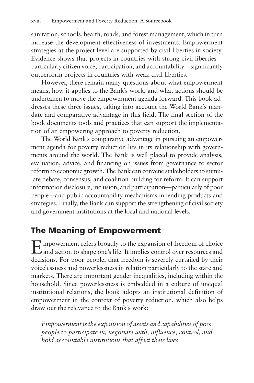sanitation, schools, health, roads, and forest management, which in turn increase the development effectiveness of investments. Empowerment strategies at the project level are supported by civil liberties in society. Evidence shows that projects in countries with strong civil liberties particularly citizen voice, participation, and accountability—significantly outperform projects in countries with weak civil liberties.

However, there remain many questions about what empowerment means, how it applies to the Bank's work, and what actions should be undertaken to move the empowerment agenda forward. This book addresses these three issues, taking into account the World Bank's mandate and comparative advantage in this field. The final section of the book documents tools and practices that can support the implementation of an empowering approach to poverty reduction.

The World Bank's comparative advantage in pursuing an empowerment agenda for poverty reduction lies in its relationship with governments around the world. The Bank is well placed to provide analysis, evaluation, advice, and financing on issues from governance to sector reform to economic growth. The Bank can convene stakeholders to stimulate debate, consensus, and coalition building for reform. It can support information disclosure, inclusion, and participation—particularly of poor people—and public accountability mechanisms in lending products and strategies. Finally, the Bank can support the strengthening of civil society and government institutions at the local and national levels.

#### **The Meaning of Empowerment**

Empowerment refers broadly to the expansion of freedom of choice<br>and action to shape one's life. It implies control over resources and decisions. For poor people, that freedom is severely curtailed by their voicelessness and powerlessness in relation particularly to the state and markets. There are important gender inequalities, including within the household. Since powerlessness is embedded in a culture of unequal institutional relations, the book adopts an institutional definition of empowerment in the context of poverty reduction, which also helps draw out the relevance to the Bank's work:

*Empowerment is the expansion of assets and capabilities of poor people to participate in, negotiate with, influence, control, and hold accountable institutions that affect their lives.*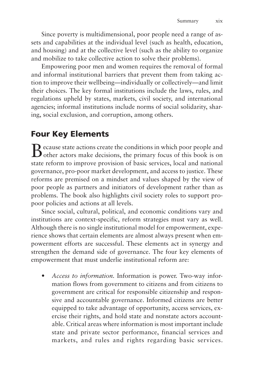Since poverty is multidimensional, poor people need a range of assets and capabilities at the individual level (such as health, education, and housing) and at the collective level (such as the ability to organize and mobilize to take collective action to solve their problems).

Empowering poor men and women requires the removal of formal and informal institutional barriers that prevent them from taking action to improve their wellbeing—individually or collectively—and limit their choices. The key formal institutions include the laws, rules, and regulations upheld by states, markets, civil society, and international agencies; informal institutions include norms of social solidarity, sharing, social exclusion, and corruption, among others.

#### **Four Key Elements**

Because state actions create the conditions in which poor people and<br>other actors make decisions, the primary focus of this book is on state reform to improve provision of basic services, local and national governance, pro-poor market development, and access to justice. These reforms are premised on a mindset and values shaped by the view of poor people as partners and initiators of development rather than as problems. The book also highlights civil society roles to support propoor policies and actions at all levels.

Since social, cultural, political, and economic conditions vary and institutions are context-specific, reform strategies must vary as well. Although there is no single institutional model for empowerment, experience shows that certain elements are almost always present when empowerment efforts are successful. These elements act in synergy and strengthen the demand side of governance. The four key elements of empowerment that must underlie institutional reform are:

*• Access to information.* Information is power. Two-way information flows from government to citizens and from citizens to government are critical for responsible citizenship and responsive and accountable governance. Informed citizens are better equipped to take advantage of opportunity, access services, exercise their rights, and hold state and nonstate actors accountable. Critical areas where information is most important include state and private sector performance, financial services and markets, and rules and rights regarding basic services.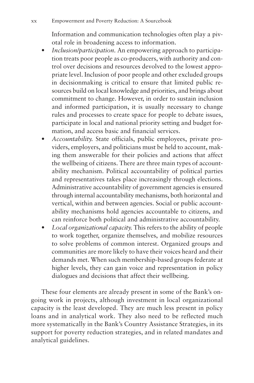Information and communication technologies often play a pivotal role in broadening access to information.

- *Inclusion/participation.* An empowering approach to participation treats poor people as co-producers, with authority and control over decisions and resources devolved to the lowest appropriate level. Inclusion of poor people and other excluded groups in decisionmaking is critical to ensure that limited public resources build on local knowledge and priorities, and brings about commitment to change. However, in order to sustain inclusion and informed participation, it is usually necessary to change rules and processes to create space for people to debate issues, participate in local and national priority setting and budget formation, and access basic and financial services.
- *Accountability.* State officials, public employees, private providers, employers, and politicians must be held to account, making them answerable for their policies and actions that affect the wellbeing of citizens. There are three main types of accountability mechanism. Political accountability of political parties and representatives takes place increasingly through elections. Administrative accountability of government agencies is ensured through internal accountability mechanisms, both horizontal and vertical, within and between agencies. Social or public accountability mechanisms hold agencies accountable to citizens, and can reinforce both political and administrative accountability.
- *Local organizational capacity.* This refers to the ability of people to work together, organize themselves, and mobilize resources to solve problems of common interest. Organized groups and communities are more likely to have their voices heard and their demands met. When such membership-based groups federate at higher levels, they can gain voice and representation in policy dialogues and decisions that affect their wellbeing.

These four elements are already present in some of the Bank's ongoing work in projects, although investment in local organizational capacity is the least developed. They are much less present in policy loans and in analytical work. They also need to be reflected much more systematically in the Bank's Country Assistance Strategies, in its support for poverty reduction strategies, and in related mandates and analytical guidelines.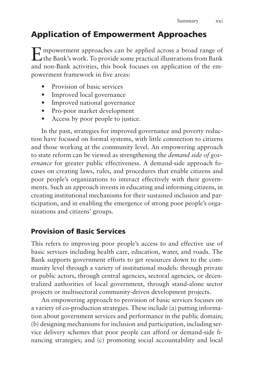#### **Application of Empowerment Approaches**

Empowerment approaches can be applied across a broad range of the Bank's work. To provide some practical illustrations from Bank and non-Bank activities, this book focuses on application of the empowerment framework in five areas:

- Provision of basic services
- Improved local governance
- Improved national governance
- Pro-poor market development
- Access by poor people to justice.

In the past, strategies for improved governance and poverty reduction have focused on formal systems, with little connection to citizens and those working at the community level. An empowering approach to state reform can be viewed as strengthening the *demand side of governance* for greater public effectiveness. A demand-side approach focuses on creating laws, rules, and procedures that enable citizens and poor people's organizations to interact effectively with their governments. Such an approach invests in educating and informing citizens, in creating institutional mechanisms for their sustained inclusion and participation, and in enabling the emergence of strong poor people's organizations and citizens' groups.

#### **Provision of Basic Services**

This refers to improving poor people's access to and effective use of basic services including health care, education, water, and roads. The Bank supports government efforts to get resources down to the community level through a variety of institutional models: through private or public actors, through central agencies, sectoral agencies, or decentralized authorities of local government, through stand-alone sector projects or multisectoral community-driven development projects.

An empowering approach to provision of basic services focuses on a variety of co-production strategies. These include (a) putting information about government services and performance in the public domain; (b) designing mechanisms for inclusion and participation, including service delivery schemes that poor people can afford or demand-side financing strategies; and (c) promoting social accountability and local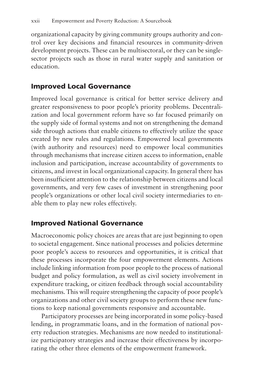organizational capacity by giving community groups authority and control over key decisions and financial resources in community-driven development projects. These can be multisectoral, or they can be singlesector projects such as those in rural water supply and sanitation or education.

#### **Improved Local Governance**

Improved local governance is critical for better service delivery and greater responsiveness to poor people's priority problems. Decentralization and local government reform have so far focused primarily on the supply side of formal systems and not on strengthening the demand side through actions that enable citizens to effectively utilize the space created by new rules and regulations. Empowered local governments (with authority and resources) need to empower local communities through mechanisms that increase citizen access to information, enable inclusion and participation, increase accountability of governments to citizens, and invest in local organizational capacity. In general there has been insufficient attention to the relationship between citizens and local governments, and very few cases of investment in strengthening poor people's organizations or other local civil society intermediaries to enable them to play new roles effectively.

#### **Improved National Governance**

Macroeconomic policy choices are areas that are just beginning to open to societal engagement. Since national processes and policies determine poor people's access to resources and opportunities, it is critical that these processes incorporate the four empowerment elements. Actions include linking information from poor people to the process of national budget and policy formulation, as well as civil society involvement in expenditure tracking, or citizen feedback through social accountability mechanisms. This will require strengthening the capacity of poor people's organizations and other civil society groups to perform these new functions to keep national governments responsive and accountable.

Participatory processes are being incorporated in some policy-based lending, in programmatic loans, and in the formation of national poverty reduction strategies. Mechanisms are now needed to institutionalize participatory strategies and increase their effectiveness by incorporating the other three elements of the empowerment framework.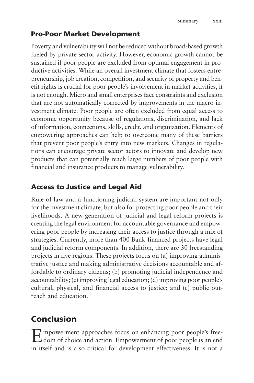#### **Pro-Poor Market Development**

Poverty and vulnerability will not be reduced without broad-based growth fueled by private sector activity. However, economic growth cannot be sustained if poor people are excluded from optimal engagement in productive activities. While an overall investment climate that fosters entrepreneurship, job creation, competition, and security of property and benefit rights is crucial for poor people's involvement in market activities, it is not enough. Micro and small enterprises face constraints and exclusion that are not automatically corrected by improvements in the macro investment climate. Poor people are often excluded from equal access to economic opportunity because of regulations, discrimination, and lack of information, connections, skills, credit, and organization. Elements of empowering approaches can help to overcome many of these barriers that prevent poor people's entry into new markets. Changes in regulations can encourage private sector actors to innovate and develop new products that can potentially reach large numbers of poor people with financial and insurance products to manage vulnerability.

#### **Access to Justice and Legal Aid**

Rule of law and a functioning judicial system are important not only for the investment climate, but also for protecting poor people and their livelihoods. A new generation of judicial and legal reform projects is creating the legal environment for accountable governance and empowering poor people by increasing their access to justice through a mix of strategies. Currently, more than 400 Bank-financed projects have legal and judicial reform components. In addition, there are 30 freestanding projects in five regions. These projects focus on (a) improving administrative justice and making administrative decisions accountable and affordable to ordinary citizens; (b) promoting judicial independence and accountability; (c) improving legal education; (d) improving poor people's cultural, physical, and financial access to justice; and (e) public outreach and education.

#### **Conclusion**

 $\Gamma$  mpowerment approaches focus on enhancing poor people's free- $\Delta$  dom of choice and action. Empowerment of poor people is an end in itself and is also critical for development effectiveness. It is not a